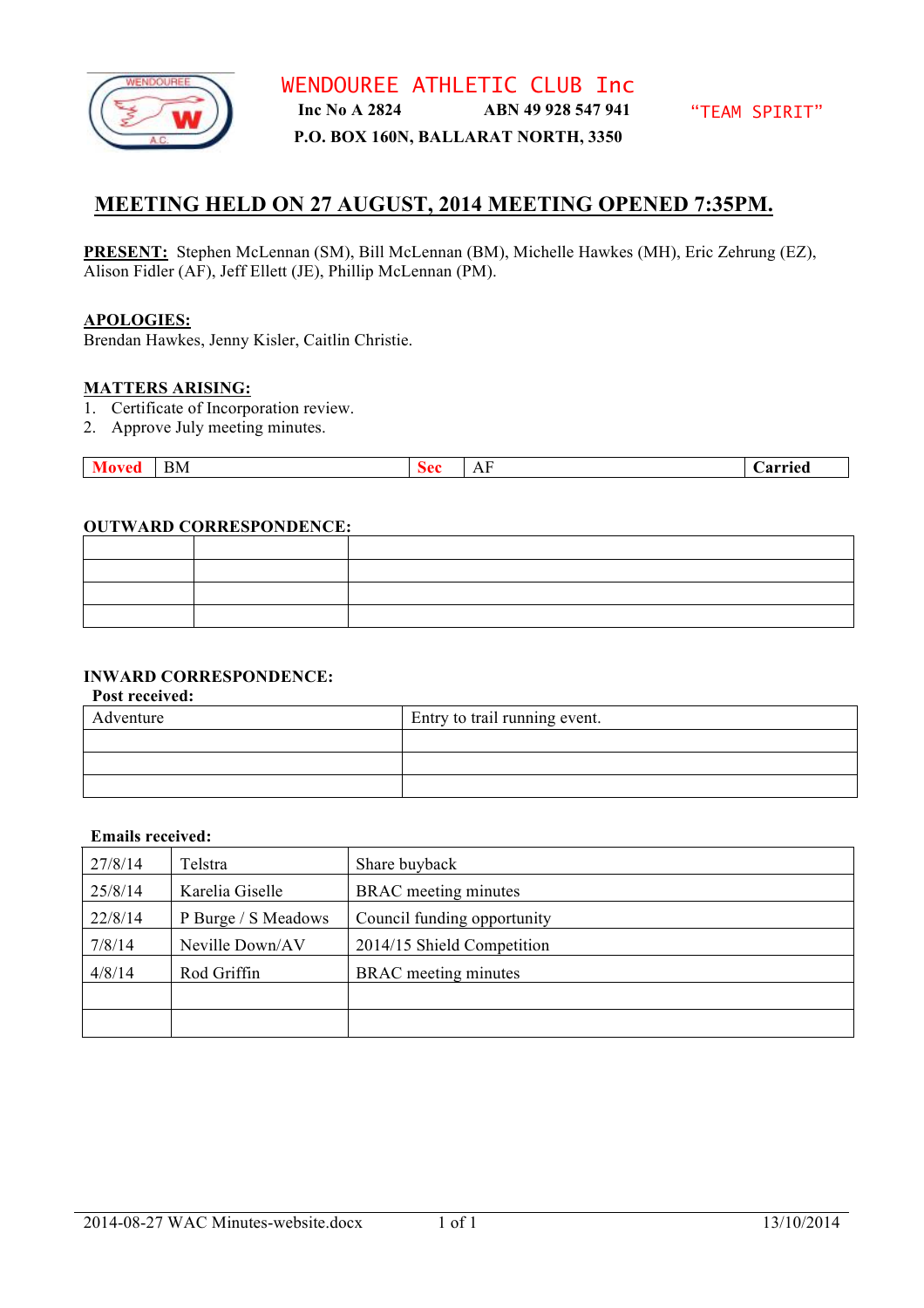

#### **P.O. BOX 160N, BALLARAT NORTH, 3350**

# **MEETING HELD ON 27 AUGUST, 2014 MEETING OPENED 7:35PM.**

**PRESENT:** Stephen McLennan (SM), Bill McLennan (BM), Michelle Hawkes (MH), Eric Zehrung (EZ), Alison Fidler (AF), Jeff Ellett (JE), Phillip McLennan (PM).

#### **APOLOGIES:**

Brendan Hawkes, Jenny Kisler, Caitlin Christie.

#### **MATTERS ARISING:**

- 1. Certificate of Incorporation review.
- 2. Approve July meeting minutes.

| BМ<br>. . | ΛΛ<br>. . | $\sim$<br>,,,<br>$\overline{11}$ | arried |
|-----------|-----------|----------------------------------|--------|
|-----------|-----------|----------------------------------|--------|

#### **OUTWARD CORRESPONDENCE:**

## **INWARD CORRESPONDENCE:**

**Post received:**

| Adventure | Entry to trail running event. |
|-----------|-------------------------------|
|           |                               |
|           |                               |
|           |                               |

#### **Emails received:**

| 27/8/14                    | Telstra             | Share buyback               |
|----------------------------|---------------------|-----------------------------|
| 25/8/14<br>Karelia Giselle |                     | <b>BRAC</b> meeting minutes |
| 22/8/14                    | P Burge / S Meadows | Council funding opportunity |
| 7/8/14                     | Neville Down/AV     | 2014/15 Shield Competition  |
| 4/8/14                     | Rod Griffin         | <b>BRAC</b> meeting minutes |
|                            |                     |                             |
|                            |                     |                             |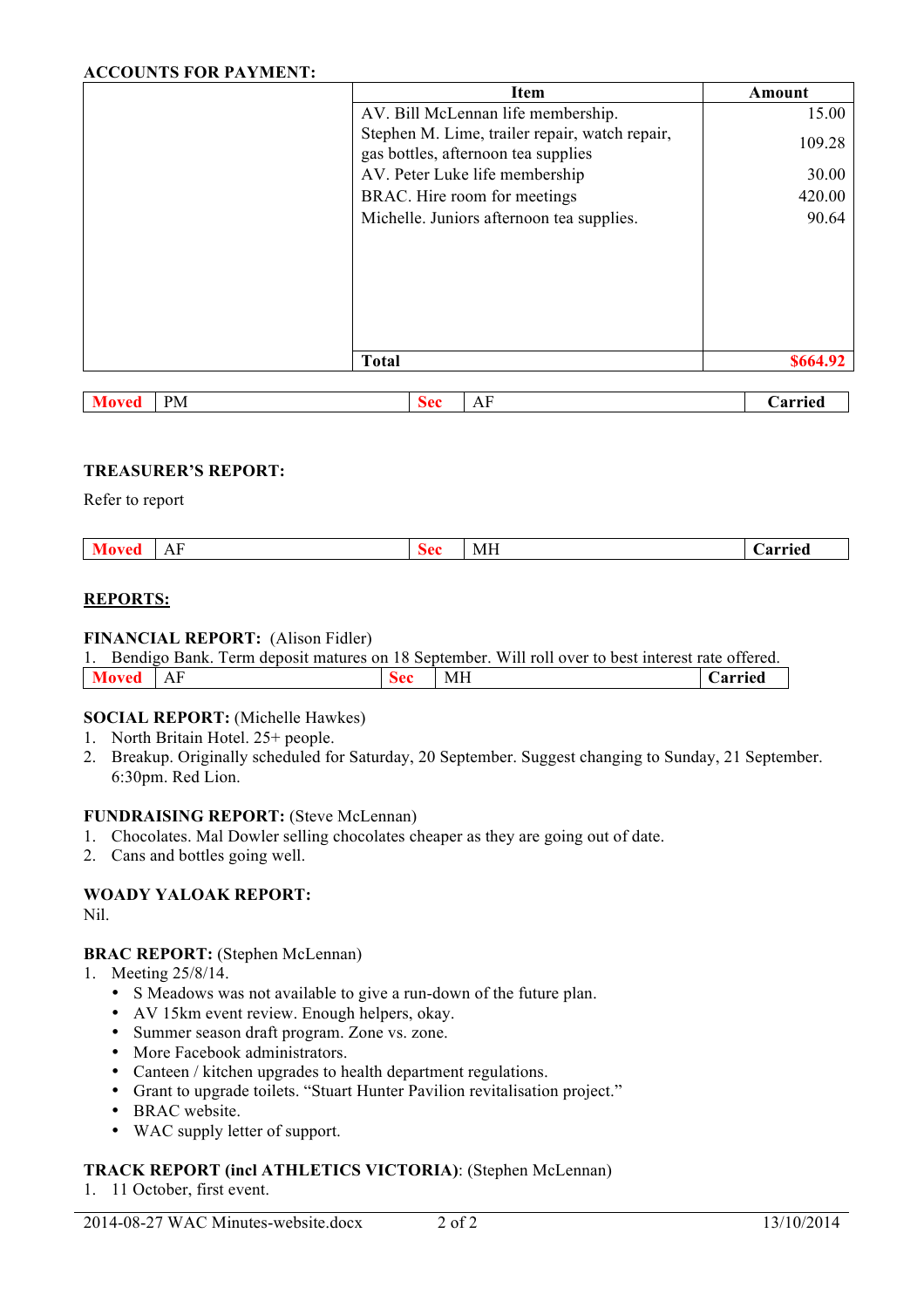#### **ACCOUNTS FOR PAYMENT:**

| <b>Item</b>                                                                           | Amount   |
|---------------------------------------------------------------------------------------|----------|
| AV. Bill McLennan life membership.                                                    | 15.00    |
| Stephen M. Lime, trailer repair, watch repair,<br>gas bottles, afternoon tea supplies | 109.28   |
| AV. Peter Luke life membership                                                        | 30.00    |
| BRAC. Hire room for meetings                                                          | 420.00   |
| Michelle. Juniors afternoon tea supplies.                                             | 90.64    |
|                                                                                       |          |
|                                                                                       |          |
|                                                                                       |          |
|                                                                                       |          |
|                                                                                       |          |
| <b>Total</b>                                                                          | \$664.92 |

| <b>PM</b> | ×^^<br>pcl | - 7<br>$\Lambda$<br>$\bf{11}$ | $\overline{\phantom{a}}$<br>$\sim$ -a-a- $\sim$<br>.я, |
|-----------|------------|-------------------------------|--------------------------------------------------------|
|-----------|------------|-------------------------------|--------------------------------------------------------|

## **TREASURER'S REPORT:**

Refer to report

| ∸<br>1 T T | $\mathbf{v}$ |  |  | $-$<br>MI | .<br>тео |
|------------|--------------|--|--|-----------|----------|
|------------|--------------|--|--|-----------|----------|

#### **REPORTS:**

#### **FINANCIAL REPORT:** (Alison Fidler)

|          |  |            |                 | Bendigo Bank. Term deposit matures on 18 September. Will roll over to best interest rate offered. |                |
|----------|--|------------|-----------------|---------------------------------------------------------------------------------------------------|----------------|
| Moved AF |  | <b>Sec</b> | $\mathsf{I}$ MH |                                                                                                   | <b>Carried</b> |

#### **SOCIAL REPORT:** (Michelle Hawkes)

- 1. North Britain Hotel. 25+ people.
- 2. Breakup. Originally scheduled for Saturday, 20 September. Suggest changing to Sunday, 21 September. 6:30pm. Red Lion.

## **FUNDRAISING REPORT:** (Steve McLennan)

- 1. Chocolates. Mal Dowler selling chocolates cheaper as they are going out of date.
- 2. Cans and bottles going well.

## **WOADY YALOAK REPORT:**

Nil.

#### **BRAC REPORT:** (Stephen McLennan)

- 1. Meeting 25/8/14.
	- S Meadows was not available to give a run-down of the future plan.
	- AV 15km event review. Enough helpers, okay.
	- Summer season draft program. Zone vs. zone.
	- More Facebook administrators.
	- Canteen / kitchen upgrades to health department regulations.
	- Grant to upgrade toilets. "Stuart Hunter Pavilion revitalisation project."
	- BRAC website.
	- WAC supply letter of support.

## **TRACK REPORT (incl ATHLETICS VICTORIA)**: (Stephen McLennan)

1. 11 October, first event.